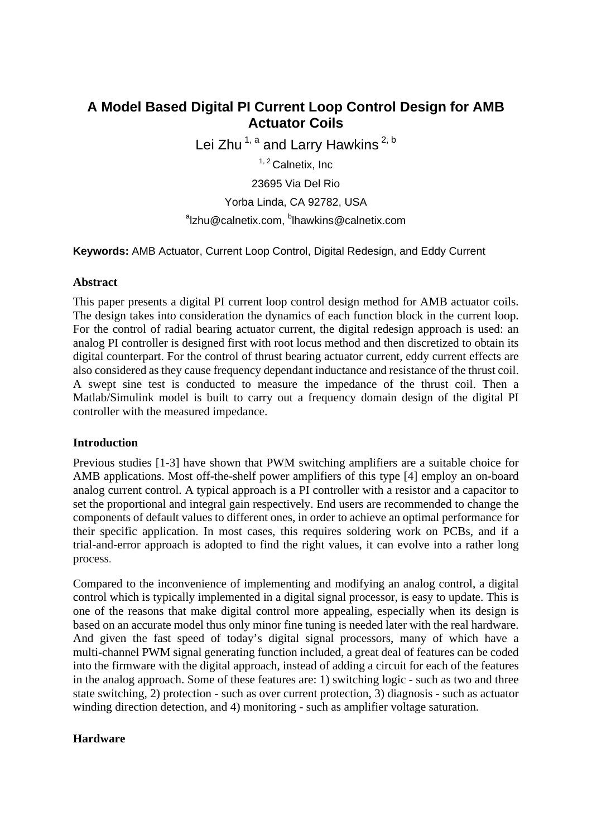# **A Model Based Digital PI Current Loop Control Design for AMB Actuator Coils**

Lei Zhu<sup>1, a</sup> and Larry Hawkins<sup>2, b</sup>

<sup>1, 2</sup> Calnetix, Inc

23695 Via Del Rio

Yorba Linda, CA 92782, USA

### <sup>a</sup>lzhu@calnetix.com, <sup>b</sup>lhawkins@calnetix.com

**Keywords:** AMB Actuator, Current Loop Control, Digital Redesign, and Eddy Current

#### **Abstract**

This paper presents a digital PI current loop control design method for AMB actuator coils. The design takes into consideration the dynamics of each function block in the current loop. For the control of radial bearing actuator current, the digital redesign approach is used: an analog PI controller is designed first with root locus method and then discretized to obtain its digital counterpart. For the control of thrust bearing actuator current, eddy current effects are also considered as they cause frequency dependant inductance and resistance of the thrust coil. A swept sine test is conducted to measure the impedance of the thrust coil. Then a Matlab/Simulink model is built to carry out a frequency domain design of the digital PI controller with the measured impedance.

# **Introduction**

Previous studies [1-3] have shown that PWM switching amplifiers are a suitable choice for AMB applications. Most off-the-shelf power amplifiers of this type [4] employ an on-board analog current control. A typical approach is a PI controller with a resistor and a capacitor to set the proportional and integral gain respectively. End users are recommended to change the components of default values to different ones, in order to achieve an optimal performance for their specific application. In most cases, this requires soldering work on PCBs, and if a trial-and-error approach is adopted to find the right values, it can evolve into a rather long process.

Compared to the inconvenience of implementing and modifying an analog control, a digital control which is typically implemented in a digital signal processor, is easy to update. This is one of the reasons that make digital control more appealing, especially when its design is based on an accurate model thus only minor fine tuning is needed later with the real hardware. And given the fast speed of today's digital signal processors, many of which have a multi-channel PWM signal generating function included, a great deal of features can be coded into the firmware with the digital approach, instead of adding a circuit for each of the features in the analog approach. Some of these features are: 1) switching logic - such as two and three state switching, 2) protection - such as over current protection, 3) diagnosis - such as actuator winding direction detection, and 4) monitoring - such as amplifier voltage saturation.

# **Hardware**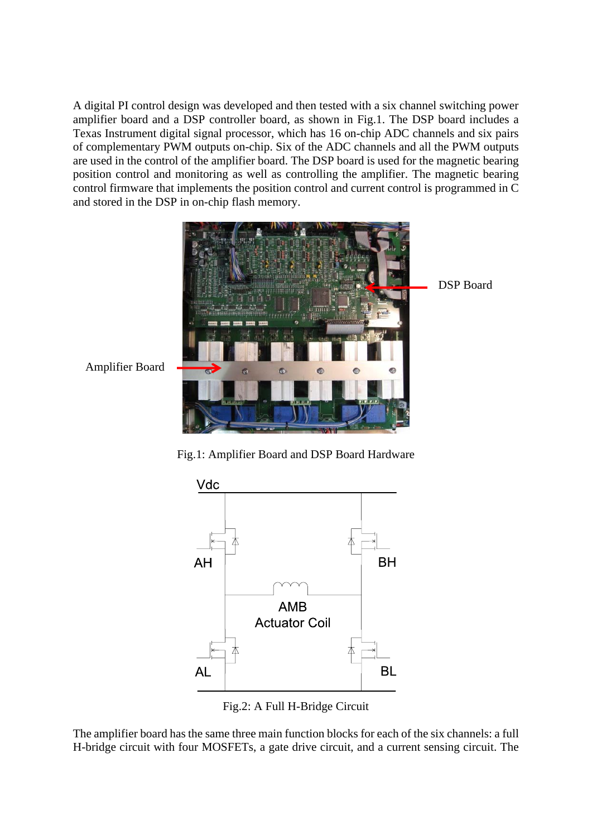A digital PI control design was developed and then tested with a six channel switching power amplifier board and a DSP controller board, as shown in Fig.1. The DSP board includes a Texas Instrument digital signal processor, which has 16 on-chip ADC channels and six pairs of complementary PWM outputs on-chip. Six of the ADC channels and all the PWM outputs are used in the control of the amplifier board. The DSP board is used for the magnetic bearing position control and monitoring as well as controlling the amplifier. The magnetic bearing control firmware that implements the position control and current control is programmed in C and stored in the DSP in on-chip flash memory.



Fig.1: Amplifier Board and DSP Board Hardware



Fig.2: A Full H-Bridge Circuit

The amplifier board has the same three main function blocks for each of the six channels: a full H-bridge circuit with four MOSFETs, a gate drive circuit, and a current sensing circuit. The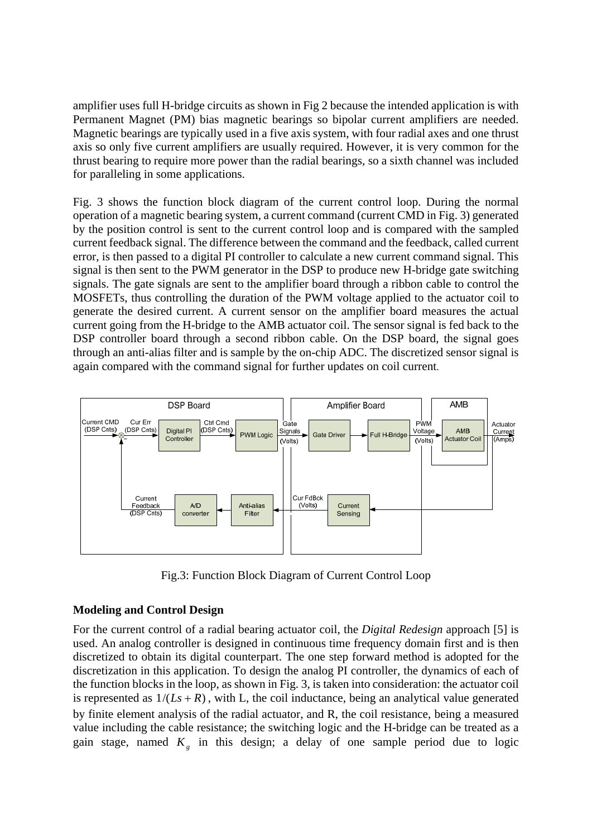amplifier uses full H-bridge circuits as shown in Fig 2 because the intended application is with Permanent Magnet (PM) bias magnetic bearings so bipolar current amplifiers are needed. Magnetic bearings are typically used in a five axis system, with four radial axes and one thrust axis so only five current amplifiers are usually required. However, it is very common for the thrust bearing to require more power than the radial bearings, so a sixth channel was included for paralleling in some applications.

Fig. 3 shows the function block diagram of the current control loop. During the normal operation of a magnetic bearing system, a current command (current CMD in Fig. 3) generated by the position control is sent to the current control loop and is compared with the sampled current feedback signal. The difference between the command and the feedback, called current error, is then passed to a digital PI controller to calculate a new current command signal. This signal is then sent to the PWM generator in the DSP to produce new H-bridge gate switching signals. The gate signals are sent to the amplifier board through a ribbon cable to control the MOSFETs, thus controlling the duration of the PWM voltage applied to the actuator coil to generate the desired current. A current sensor on the amplifier board measures the actual current going from the H-bridge to the AMB actuator coil. The sensor signal is fed back to the DSP controller board through a second ribbon cable. On the DSP board, the signal goes through an anti-alias filter and is sample by the on-chip ADC. The discretized sensor signal is again compared with the command signal for further updates on coil current.



Fig.3: Function Block Diagram of Current Control Loop

# **Modeling and Control Design**

For the current control of a radial bearing actuator coil, the *Digital Redesign* approach [5] is used. An analog controller is designed in continuous time frequency domain first and is then discretized to obtain its digital counterpart. The one step forward method is adopted for the discretization in this application. To design the analog PI controller, the dynamics of each of the function blocks in the loop, as shown in Fig. 3, is taken into consideration: the actuator coil is represented as  $1/(Ls + R)$ , with L, the coil inductance, being an analytical value generated by finite element analysis of the radial actuator, and R, the coil resistance, being a measured value including the cable resistance; the switching logic and the H-bridge can be treated as a gain stage, named  $K<sub>e</sub>$  in this design; a delay of one sample period due to logic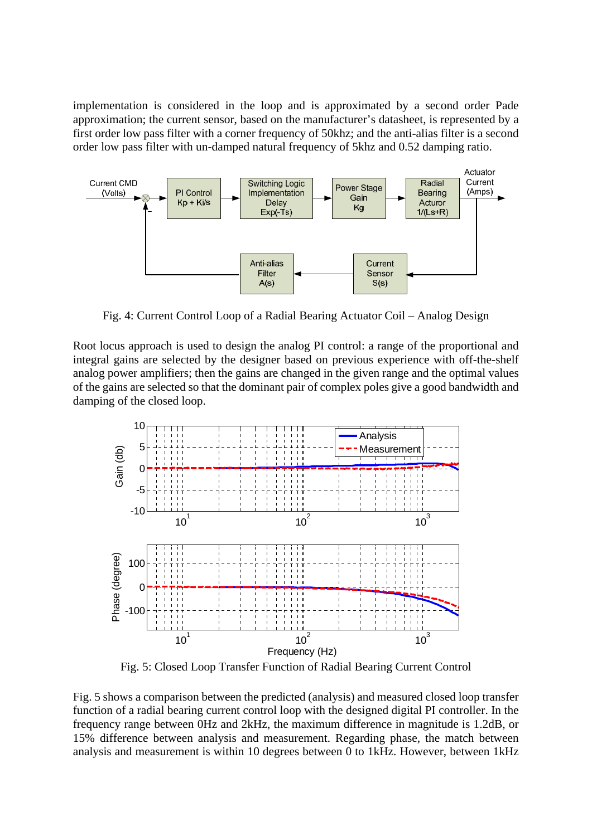implementation is considered in the loop and is approximated by a second order Pade approximation; the current sensor, based on the manufacturer's datasheet, is represented by a first order low pass filter with a corner frequency of 50khz; and the anti-alias filter is a second order low pass filter with un-damped natural frequency of 5khz and 0.52 damping ratio.



Fig. 4: Current Control Loop of a Radial Bearing Actuator Coil – Analog Design

Root locus approach is used to design the analog PI control: a range of the proportional and integral gains are selected by the designer based on previous experience with off-the-shelf analog power amplifiers; then the gains are changed in the given range and the optimal values of the gains are selected so that the dominant pair of complex poles give a good bandwidth and damping of the closed loop.



Fig. 5: Closed Loop Transfer Function of Radial Bearing Current Control

Fig. 5 shows a comparison between the predicted (analysis) and measured closed loop transfer function of a radial bearing current control loop with the designed digital PI controller. In the frequency range between 0Hz and 2kHz, the maximum difference in magnitude is 1.2dB, or 15% difference between analysis and measurement. Regarding phase, the match between analysis and measurement is within 10 degrees between 0 to 1kHz. However, between 1kHz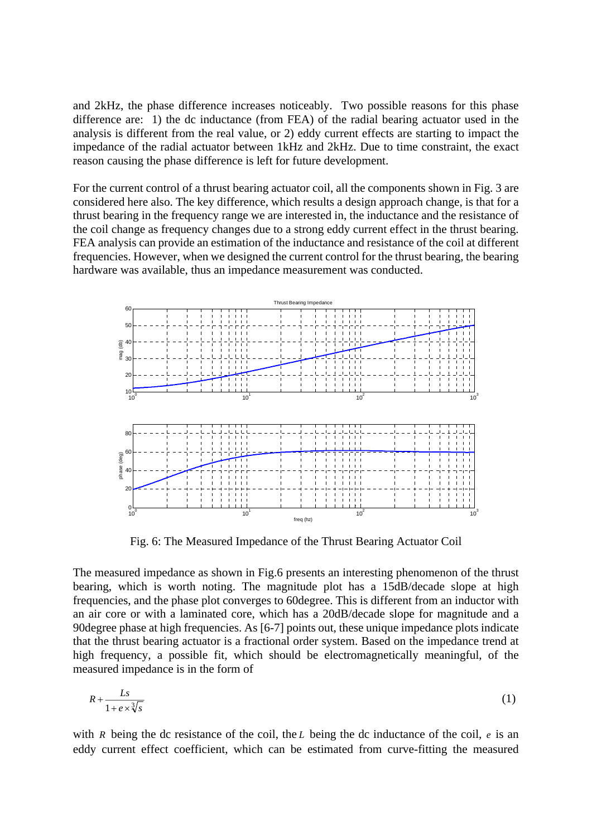and 2kHz, the phase difference increases noticeably. Two possible reasons for this phase difference are: 1) the dc inductance (from FEA) of the radial bearing actuator used in the analysis is different from the real value, or 2) eddy current effects are starting to impact the impedance of the radial actuator between 1kHz and 2kHz. Due to time constraint, the exact reason causing the phase difference is left for future development.

For the current control of a thrust bearing actuator coil, all the components shown in Fig. 3 are considered here also. The key difference, which results a design approach change, is that for a thrust bearing in the frequency range we are interested in, the inductance and the resistance of the coil change as frequency changes due to a strong eddy current effect in the thrust bearing. FEA analysis can provide an estimation of the inductance and resistance of the coil at different frequencies. However, when we designed the current control for the thrust bearing, the bearing hardware was available, thus an impedance measurement was conducted.



Fig. 6: The Measured Impedance of the Thrust Bearing Actuator Coil

The measured impedance as shown in Fig.6 presents an interesting phenomenon of the thrust bearing, which is worth noting. The magnitude plot has a 15dB/decade slope at high frequencies, and the phase plot converges to 60degree. This is different from an inductor with an air core or with a laminated core, which has a 20dB/decade slope for magnitude and a 90degree phase at high frequencies. As [6-7] points out, these unique impedance plots indicate that the thrust bearing actuator is a fractional order system. Based on the impedance trend at high frequency, a possible fit, which should be electromagnetically meaningful, of the measured impedance is in the form of

$$
R + \frac{Ls}{1 + e \times \sqrt[3]{s}}\tag{1}
$$

with *R* being the dc resistance of the coil, the *L* being the dc inductance of the coil, *e* is an eddy current effect coefficient, which can be estimated from curve-fitting the measured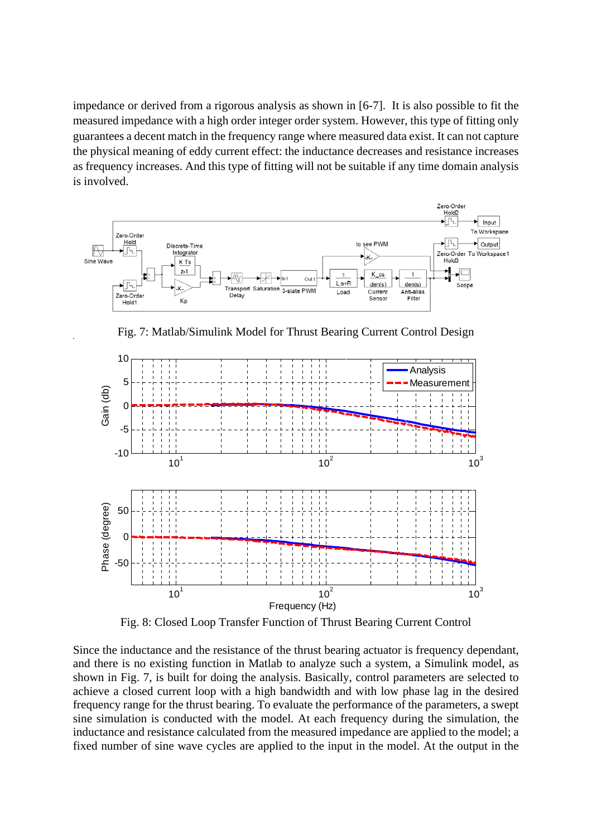impedance or derived from a rigorous analysis as shown in [6-7]. It is also possible to fit the measured impedance with a high order integer order system. However, this type of fitting only guarantees a decent match in the frequency range where measured data exist. It can not capture the physical meaning of eddy current effect: the inductance decreases and resistance increases as frequency increases. And this type of fitting will not be suitable if any time domain analysis is involved.



Fig. 7: Matlab/Simulink Model for Thrust Bearing Current Control Design



Fig. 8: Closed Loop Transfer Function of Thrust Bearing Current Control

Since the inductance and the resistance of the thrust bearing actuator is frequency dependant, and there is no existing function in Matlab to analyze such a system, a Simulink model, as shown in Fig. 7, is built for doing the analysis. Basically, control parameters are selected to achieve a closed current loop with a high bandwidth and with low phase lag in the desired frequency range for the thrust bearing. To evaluate the performance of the parameters, a swept sine simulation is conducted with the model. At each frequency during the simulation, the inductance and resistance calculated from the measured impedance are applied to the model; a fixed number of sine wave cycles are applied to the input in the model. At the output in the